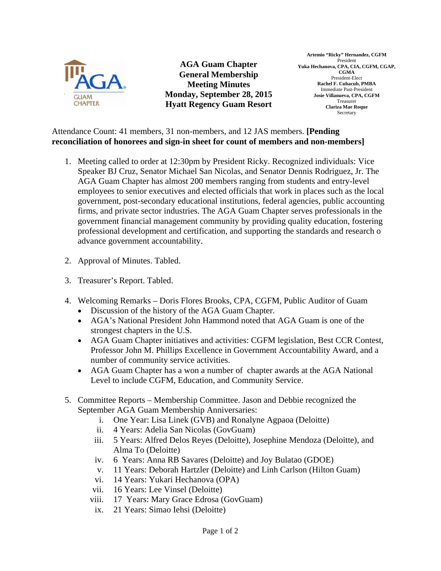

**AGA Guam Chapter General Membership Meeting Minutes Monday, September 28, 2015 Hyatt Regency Guam Resort** 

## Attendance Count: 41 members, 31 non-members, and 12 JAS members. **[Pending reconciliation of honorees and sign-in sheet for count of members and non-members]**

- 1. Meeting called to order at 12:30pm by President Ricky. Recognized individuals: Vice Speaker BJ Cruz, Senator Michael San Nicolas, and Senator Dennis Rodriguez, Jr. The AGA Guam Chapter has almost 200 members ranging from students and entry-level employees to senior executives and elected officials that work in places such as the local government, post-secondary educational institutions, federal agencies, public accounting firms, and private sector industries. The AGA Guam Chapter serves professionals in the government financial management community by providing quality education, fostering professional development and certification, and supporting the standards and research o advance government accountability.
- 2. Approval of Minutes. Tabled.
- 3. Treasurer's Report. Tabled.
- 4. Welcoming Remarks Doris Flores Brooks, CPA, CGFM, Public Auditor of Guam
	- Discussion of the history of the AGA Guam Chapter.
	- AGA's National President John Hammond noted that AGA Guam is one of the strongest chapters in the U.S.
	- AGA Guam Chapter initiatives and activities: CGFM legislation, Best CCR Contest, Professor John M. Phillips Excellence in Government Accountability Award, and a number of community service activities.
	- AGA Guam Chapter has a won a number of chapter awards at the AGA National Level to include CGFM, Education, and Community Service.
- 5. Committee Reports Membership Committee. Jason and Debbie recognized the September AGA Guam Membership Anniversaries:
	- i. One Year: Lisa Linek (GVB) and Ronalyne Agpaoa (Deloitte)
	- ii. 4 Years: Adelia San Nicolas (GovGuam)
	- iii. 5 Years: Alfred Delos Reyes (Deloitte), Josephine Mendoza (Deloitte), and Alma To (Deloitte)
	- iv. 6 Years: Anna RB Savares (Deloitte) and Joy Bulatao (GDOE)
	- v. 11 Years: Deborah Hartzler (Deloitte) and Linh Carlson (Hilton Guam)
	- vi. 14 Years: Yukari Hechanova (OPA)
	- vii. 16 Years: Lee Vinsel (Deloitte)
	- viii. 17 Years: Mary Grace Edrosa (GovGuam)
	- ix. 21 Years: Simao Iehsi (Deloitte)